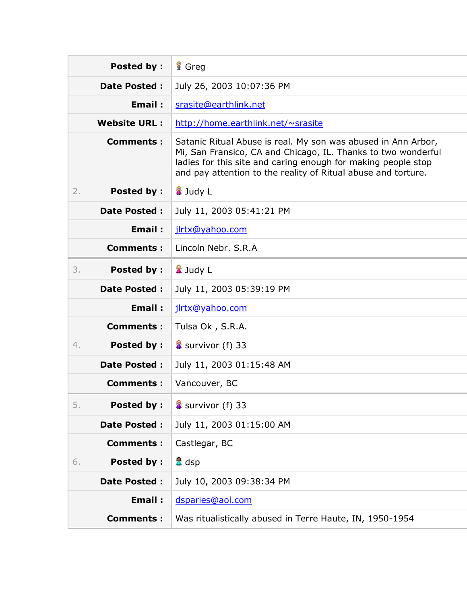| <b>Posted by:</b>       | <b>R</b> Greg                                                                                                                                                                                                                                                    |
|-------------------------|------------------------------------------------------------------------------------------------------------------------------------------------------------------------------------------------------------------------------------------------------------------|
| <b>Date Posted:</b>     | July 26, 2003 10:07:36 PM                                                                                                                                                                                                                                        |
| Email:                  | srasite@earthlink.net                                                                                                                                                                                                                                            |
| <b>Website URL:</b>     | http://home.earthlink.net/~srasite                                                                                                                                                                                                                               |
| <b>Comments:</b>        | Satanic Ritual Abuse is real. My son was abused in Ann Arbor,<br>Mi, San Fransico, CA and Chicago, IL. Thanks to two wonderful<br>ladies for this site and caring enough for making people stop<br>and pay attention to the reality of Ritual abuse and torture. |
| <b>Posted by:</b><br>2. | <b>&amp;</b> Judy L                                                                                                                                                                                                                                              |
| <b>Date Posted:</b>     | July 11, 2003 05:41:21 PM                                                                                                                                                                                                                                        |
| Email:                  | jlrtx@yahoo.com                                                                                                                                                                                                                                                  |
| <b>Comments:</b>        | Lincoln Nebr. S.R.A                                                                                                                                                                                                                                              |
| 3.<br><b>Posted by:</b> | <b>&amp;</b> Judy L                                                                                                                                                                                                                                              |
| <b>Date Posted:</b>     | July 11, 2003 05:39:19 PM                                                                                                                                                                                                                                        |
| Email:                  | jlrtx@yahoo.com                                                                                                                                                                                                                                                  |
| <b>Comments:</b>        | Tulsa Ok, S.R.A.                                                                                                                                                                                                                                                 |
| <b>Posted by:</b><br>4. | Survivor (f) 33                                                                                                                                                                                                                                                  |
| <b>Date Posted:</b>     | July 11, 2003 01:15:48 AM                                                                                                                                                                                                                                        |
| <b>Comments:</b>        | Vancouver, BC                                                                                                                                                                                                                                                    |
| <b>Posted by:</b><br>5. | Survivor (f) 33                                                                                                                                                                                                                                                  |
| <b>Date Posted:</b>     | July 11, 2003 01:15:00 AM                                                                                                                                                                                                                                        |
| <b>Comments:</b>        | Castlegar, BC                                                                                                                                                                                                                                                    |
| <b>Posted by:</b><br>6. | <mark>△</mark> dsp                                                                                                                                                                                                                                               |
| <b>Date Posted:</b>     | July 10, 2003 09:38:34 PM                                                                                                                                                                                                                                        |
| <b>Email:</b>           | dsparies@aol.com                                                                                                                                                                                                                                                 |
| <b>Comments:</b>        | Was ritualistically abused in Terre Haute, IN, 1950-1954                                                                                                                                                                                                         |
|                         |                                                                                                                                                                                                                                                                  |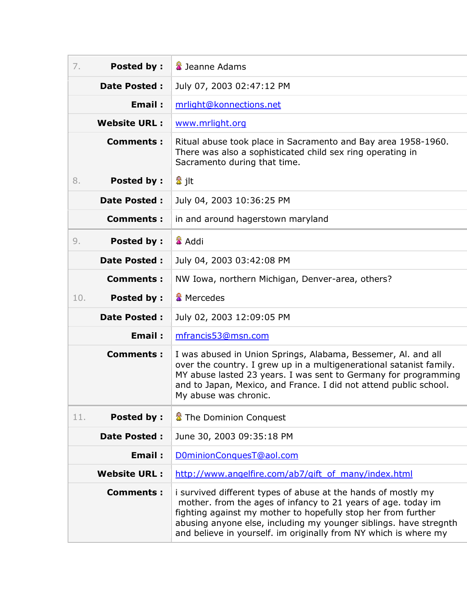| 7.  | <b>Posted by:</b>   | <b>E</b> Jeanne Adams                                                                                                                                                                                                                                                                                                                    |
|-----|---------------------|------------------------------------------------------------------------------------------------------------------------------------------------------------------------------------------------------------------------------------------------------------------------------------------------------------------------------------------|
|     | <b>Date Posted:</b> | July 07, 2003 02:47:12 PM                                                                                                                                                                                                                                                                                                                |
|     | <b>Email:</b>       | mrlight@konnections.net                                                                                                                                                                                                                                                                                                                  |
|     | <b>Website URL:</b> | www.mrlight.org                                                                                                                                                                                                                                                                                                                          |
|     | <b>Comments:</b>    | Ritual abuse took place in Sacramento and Bay area 1958-1960.<br>There was also a sophisticated child sex ring operating in<br>Sacramento during that time.                                                                                                                                                                              |
| 8.  | <b>Posted by:</b>   | 2∄ jlt                                                                                                                                                                                                                                                                                                                                   |
|     | <b>Date Posted:</b> | July 04, 2003 10:36:25 PM                                                                                                                                                                                                                                                                                                                |
|     | <b>Comments:</b>    | in and around hagerstown maryland                                                                                                                                                                                                                                                                                                        |
| 9.  | <b>Posted by:</b>   | <b>▲ Addi</b>                                                                                                                                                                                                                                                                                                                            |
|     | <b>Date Posted:</b> | July 04, 2003 03:42:08 PM                                                                                                                                                                                                                                                                                                                |
|     | <b>Comments:</b>    | NW Iowa, northern Michigan, Denver-area, others?                                                                                                                                                                                                                                                                                         |
| 10. | <b>Posted by:</b>   | <b>&amp;</b> Mercedes                                                                                                                                                                                                                                                                                                                    |
|     | <b>Date Posted:</b> | July 02, 2003 12:09:05 PM                                                                                                                                                                                                                                                                                                                |
|     | Email:              | mfrancis53@msn.com                                                                                                                                                                                                                                                                                                                       |
|     | <b>Comments:</b>    | I was abused in Union Springs, Alabama, Bessemer, Al. and all<br>over the country. I grew up in a multigenerational satanist family.<br>MY abuse lasted 23 years. I was sent to Germany for programming<br>and to Japan, Mexico, and France. I did not attend public school.<br>My abuse was chronic.                                    |
| 11. | <b>Posted by:</b>   | The Dominion Conquest                                                                                                                                                                                                                                                                                                                    |
|     | <b>Date Posted:</b> | June 30, 2003 09:35:18 PM                                                                                                                                                                                                                                                                                                                |
|     | <b>Email:</b>       | D0minionConquesT@aol.com                                                                                                                                                                                                                                                                                                                 |
|     | <b>Website URL:</b> | http://www.angelfire.com/ab7/gift_of_many/index.html                                                                                                                                                                                                                                                                                     |
|     | <b>Comments:</b>    | i survived different types of abuse at the hands of mostly my<br>mother. from the ages of infancy to 21 years of age. today im<br>fighting against my mother to hopefully stop her from further<br>abusing anyone else, including my younger siblings. have stregnth<br>and believe in yourself. im originally from NY which is where my |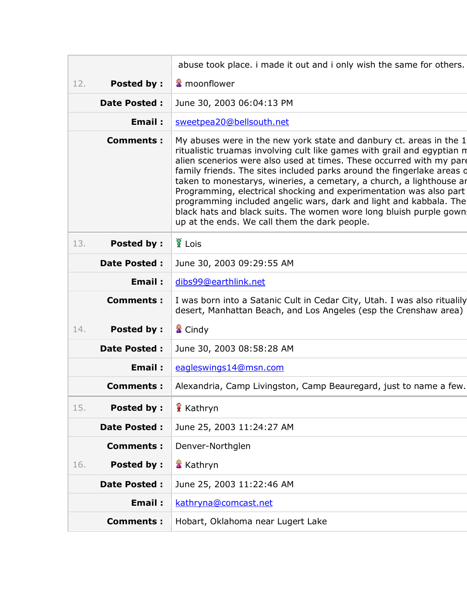|     |                     | abuse took place. i made it out and i only wish the same for others.                                                                                                                                                                                                                                                                                                                                                                                                                                                                                                                                                                        |
|-----|---------------------|---------------------------------------------------------------------------------------------------------------------------------------------------------------------------------------------------------------------------------------------------------------------------------------------------------------------------------------------------------------------------------------------------------------------------------------------------------------------------------------------------------------------------------------------------------------------------------------------------------------------------------------------|
| 12. | <b>Posted by:</b>   | <b>▲</b> moonflower                                                                                                                                                                                                                                                                                                                                                                                                                                                                                                                                                                                                                         |
|     | <b>Date Posted:</b> | June 30, 2003 06:04:13 PM                                                                                                                                                                                                                                                                                                                                                                                                                                                                                                                                                                                                                   |
|     | Email:              | sweetpea20@bellsouth.net                                                                                                                                                                                                                                                                                                                                                                                                                                                                                                                                                                                                                    |
|     | <b>Comments:</b>    | My abuses were in the new york state and danbury ct. areas in the 1<br>ritualistic truamas involving cult like games with grail and egyptian n<br>alien scenerios were also used at times. These occurred with my pare<br>family friends. The sites included parks around the fingerlake areas d<br>taken to monestarys, wineries, a cemetary, a church, a lighthouse ar<br>Programming, electrical shocking and experimentation was also part<br>programming included angelic wars, dark and light and kabbala. The<br>black hats and black suits. The women wore long bluish purple gown<br>up at the ends. We call them the dark people. |
| 13. | <b>Posted by:</b>   | Lois <sup>1</sup>                                                                                                                                                                                                                                                                                                                                                                                                                                                                                                                                                                                                                           |
|     | <b>Date Posted:</b> | June 30, 2003 09:29:55 AM                                                                                                                                                                                                                                                                                                                                                                                                                                                                                                                                                                                                                   |
|     | Email:              | dibs99@earthlink.net                                                                                                                                                                                                                                                                                                                                                                                                                                                                                                                                                                                                                        |
|     | <b>Comments:</b>    | I was born into a Satanic Cult in Cedar City, Utah. I was also ritualily<br>desert, Manhattan Beach, and Los Angeles (esp the Crenshaw area)                                                                                                                                                                                                                                                                                                                                                                                                                                                                                                |
| 14. | <b>Posted by:</b>   | <b>&amp;</b> Cindy                                                                                                                                                                                                                                                                                                                                                                                                                                                                                                                                                                                                                          |
|     | <b>Date Posted:</b> | June 30, 2003 08:58:28 AM                                                                                                                                                                                                                                                                                                                                                                                                                                                                                                                                                                                                                   |
|     | Email:              | eagleswings14@msn.com                                                                                                                                                                                                                                                                                                                                                                                                                                                                                                                                                                                                                       |
|     | <b>Comments:</b>    | Alexandria, Camp Livingston, Camp Beauregard, just to name a few.                                                                                                                                                                                                                                                                                                                                                                                                                                                                                                                                                                           |
| 15. | <b>Posted by:</b>   | <b>Kathryn</b>                                                                                                                                                                                                                                                                                                                                                                                                                                                                                                                                                                                                                              |
|     | <b>Date Posted:</b> | June 25, 2003 11:24:27 AM                                                                                                                                                                                                                                                                                                                                                                                                                                                                                                                                                                                                                   |
|     | <b>Comments:</b>    | Denver-Northglen                                                                                                                                                                                                                                                                                                                                                                                                                                                                                                                                                                                                                            |
| 16. | <b>Posted by:</b>   | <b>X</b> Kathryn                                                                                                                                                                                                                                                                                                                                                                                                                                                                                                                                                                                                                            |
|     | <b>Date Posted:</b> | June 25, 2003 11:22:46 AM                                                                                                                                                                                                                                                                                                                                                                                                                                                                                                                                                                                                                   |
|     | <b>Email:</b>       | kathryna@comcast.net                                                                                                                                                                                                                                                                                                                                                                                                                                                                                                                                                                                                                        |
|     | <b>Comments:</b>    | Hobart, Oklahoma near Lugert Lake                                                                                                                                                                                                                                                                                                                                                                                                                                                                                                                                                                                                           |
|     |                     |                                                                                                                                                                                                                                                                                                                                                                                                                                                                                                                                                                                                                                             |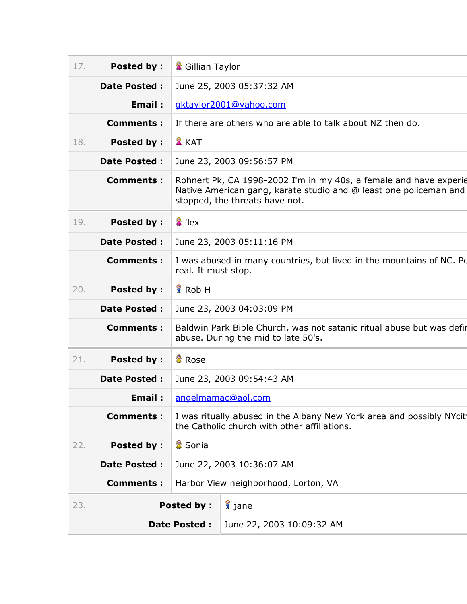| 17. | <b>Posted by:</b>   | Gillian Taylor      |                                                                                                                                                                          |
|-----|---------------------|---------------------|--------------------------------------------------------------------------------------------------------------------------------------------------------------------------|
|     | <b>Date Posted:</b> |                     | June 25, 2003 05:37:32 AM                                                                                                                                                |
|     | Email:              |                     | gktaylor2001@yahoo.com                                                                                                                                                   |
|     | <b>Comments:</b>    |                     | If there are others who are able to talk about NZ then do.                                                                                                               |
| 18. | <b>Posted by:</b>   | <b>A</b> KAT        |                                                                                                                                                                          |
|     | <b>Date Posted:</b> |                     | June 23, 2003 09:56:57 PM                                                                                                                                                |
|     | <b>Comments:</b>    |                     | Rohnert Pk, CA 1998-2002 I'm in my 40s, a female and have experie<br>Native American gang, karate studio and @ least one policeman and<br>stopped, the threats have not. |
| 19. | <b>Posted by:</b>   | $\frac{2}{4}$ 'lex  |                                                                                                                                                                          |
|     | <b>Date Posted:</b> |                     | June 23, 2003 05:11:16 PM                                                                                                                                                |
|     | <b>Comments:</b>    | real. It must stop. | I was abused in many countries, but lived in the mountains of NC. Pe                                                                                                     |
| 20. | <b>Posted by:</b>   | Rob H               |                                                                                                                                                                          |
|     | <b>Date Posted:</b> |                     | June 23, 2003 04:03:09 PM                                                                                                                                                |
|     | <b>Comments:</b>    |                     | Baldwin Park Bible Church, was not satanic ritual abuse but was defir<br>abuse. During the mid to late 50's.                                                             |
| 21. | <b>Posted by:</b>   | <sup>量</sup> Rose   |                                                                                                                                                                          |
|     | Date Posted :       |                     | June 23, 2003 09:54:43 AM                                                                                                                                                |
|     |                     |                     | <b>Email:</b> angelmamac@aol.com                                                                                                                                         |
|     | <b>Comments:</b>    |                     | I was ritually abused in the Albany New York area and possibly NYcit<br>the Catholic church with other affiliations.                                                     |
| 22. | <b>Posted by:</b>   | <b>■</b> Sonia      |                                                                                                                                                                          |
|     | <b>Date Posted:</b> |                     | June 22, 2003 10:36:07 AM                                                                                                                                                |
|     | <b>Comments:</b>    |                     | Harbor View neighborhood, Lorton, VA                                                                                                                                     |
| 23. |                     | <b>Posted by:</b>   | <i>i</i> f jane                                                                                                                                                          |
|     |                     | <b>Date Posted:</b> | June 22, 2003 10:09:32 AM                                                                                                                                                |
|     |                     |                     |                                                                                                                                                                          |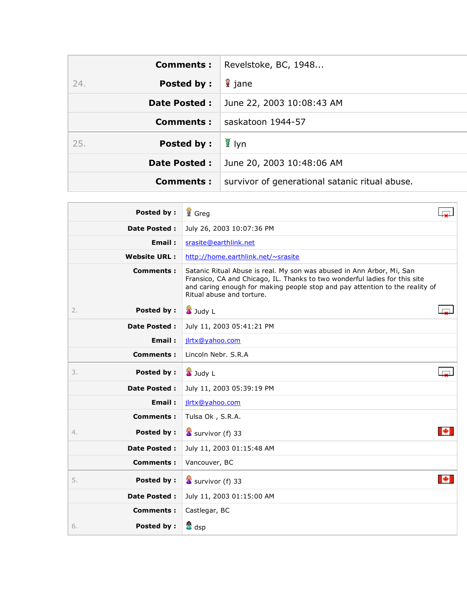| <b>Comments:</b>         | Revelstoke, BC, 1948                           |
|--------------------------|------------------------------------------------|
| <b>Posted by:</b><br>24. | lane                                           |
| <b>Date Posted:</b>      | June 22, 2003 10:08:43 AM                      |
| Comments :               | saskatoon 1944-57                              |
| <b>Posted by:</b><br>25. | ∥ ¶ Iyn                                        |
| <b>Date Posted:</b>      | June 20, 2003 10:48:06 AM                      |
| <b>Comments:</b>         | survivor of generational satanic ritual abuse. |

| <b>Posted by:</b>       | <b>f</b> Greg                                                                                                                                                                                                                                                    |  |
|-------------------------|------------------------------------------------------------------------------------------------------------------------------------------------------------------------------------------------------------------------------------------------------------------|--|
| <b>Date Posted:</b>     | July 26, 2003 10:07:36 PM                                                                                                                                                                                                                                        |  |
| Email:                  | srasite@earthlink.net                                                                                                                                                                                                                                            |  |
| <b>Website URL:</b>     | http://home.earthlink.net/~srasite                                                                                                                                                                                                                               |  |
| <b>Comments:</b>        | Satanic Ritual Abuse is real. My son was abused in Ann Arbor, Mi, San<br>Fransico, CA and Chicago, IL. Thanks to two wonderful ladies for this site<br>and caring enough for making people stop and pay attention to the reality of<br>Ritual abuse and torture. |  |
| <b>Posted by:</b><br>2. | <b>公</b> Judy L                                                                                                                                                                                                                                                  |  |
| <b>Date Posted:</b>     | July 11, 2003 05:41:21 PM                                                                                                                                                                                                                                        |  |
| Email:                  | jlrtx@yahoo.com                                                                                                                                                                                                                                                  |  |
| <b>Comments:</b>        | Lincoln Nebr. S.R.A                                                                                                                                                                                                                                              |  |
| <b>Posted by:</b><br>3. | <b>X</b> Judy L                                                                                                                                                                                                                                                  |  |
| <b>Date Posted:</b>     | July 11, 2003 05:39:19 PM                                                                                                                                                                                                                                        |  |
| Email:                  | jlrtx@yahoo.com                                                                                                                                                                                                                                                  |  |
| <b>Comments:</b>        | Tulsa Ok, S.R.A.                                                                                                                                                                                                                                                 |  |
| <b>Posted by:</b><br>4. | Survivor (f) 33                                                                                                                                                                                                                                                  |  |
| <b>Date Posted:</b>     | July 11, 2003 01:15:48 AM                                                                                                                                                                                                                                        |  |
| <b>Comments:</b>        | Vancouver, BC                                                                                                                                                                                                                                                    |  |
| Posted by:<br>5.        | $\frac{1}{4}$ survivor (f) 33                                                                                                                                                                                                                                    |  |
| <b>Date Posted:</b>     | July 11, 2003 01:15:00 AM                                                                                                                                                                                                                                        |  |
| <b>Comments:</b>        | Castlegar, BC                                                                                                                                                                                                                                                    |  |
| <b>Posted by:</b><br>6. | <mark>疊</mark> dsp                                                                                                                                                                                                                                               |  |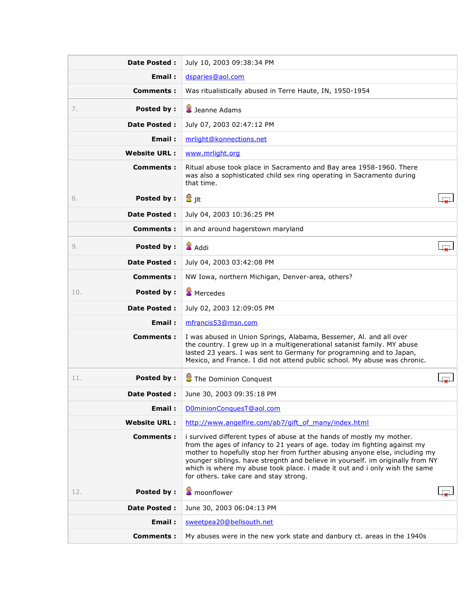| <b>Date Posted:</b>      | July 10, 2003 09:38:34 PM                                                                                                                                                                                                                                                                                                                                                                                                                   |  |
|--------------------------|---------------------------------------------------------------------------------------------------------------------------------------------------------------------------------------------------------------------------------------------------------------------------------------------------------------------------------------------------------------------------------------------------------------------------------------------|--|
| Email:                   | dsparies@aol.com                                                                                                                                                                                                                                                                                                                                                                                                                            |  |
| Comments:                | Was ritualistically abused in Terre Haute, IN, 1950-1954                                                                                                                                                                                                                                                                                                                                                                                    |  |
| <b>Posted by:</b><br>7.  | Jeanne Adams                                                                                                                                                                                                                                                                                                                                                                                                                                |  |
| Date Posted :            | July 07, 2003 02:47:12 PM                                                                                                                                                                                                                                                                                                                                                                                                                   |  |
| Email:                   | mrlight@konnections.net                                                                                                                                                                                                                                                                                                                                                                                                                     |  |
| <b>Website URL:</b>      | www.mrlight.org                                                                                                                                                                                                                                                                                                                                                                                                                             |  |
| <b>Comments:</b>         | Ritual abuse took place in Sacramento and Bay area 1958-1960. There<br>was also a sophisticated child sex ring operating in Sacramento during<br>that time.                                                                                                                                                                                                                                                                                 |  |
| <b>Posted by:</b><br>8.  | 魯 jlt                                                                                                                                                                                                                                                                                                                                                                                                                                       |  |
| Date Posted :            | July 04, 2003 10:36:25 PM                                                                                                                                                                                                                                                                                                                                                                                                                   |  |
| Comments:                | in and around hagerstown maryland                                                                                                                                                                                                                                                                                                                                                                                                           |  |
| <b>Posted by:</b><br>9.  | Addi                                                                                                                                                                                                                                                                                                                                                                                                                                        |  |
| Date Posted :            | July 04, 2003 03:42:08 PM                                                                                                                                                                                                                                                                                                                                                                                                                   |  |
| Comments:                | NW Iowa, northern Michigan, Denver-area, others?                                                                                                                                                                                                                                                                                                                                                                                            |  |
| <b>Posted by:</b><br>10. | <b>■</b> Mercedes                                                                                                                                                                                                                                                                                                                                                                                                                           |  |
| Date Posted :            | July 02, 2003 12:09:05 PM                                                                                                                                                                                                                                                                                                                                                                                                                   |  |
| Email:                   | mfrancis53@msn.com                                                                                                                                                                                                                                                                                                                                                                                                                          |  |
| <b>Comments:</b>         | I was abused in Union Springs, Alabama, Bessemer, Al. and all over<br>the country. I grew up in a multigenerational satanist family. MY abuse<br>lasted 23 years. I was sent to Germany for programning and to Japan,<br>Mexico, and France. I did not attend public school. My abuse was chronic.                                                                                                                                          |  |
| <b>Posted by:</b><br>11. | The Dominion Conquest                                                                                                                                                                                                                                                                                                                                                                                                                       |  |
| <b>Date Posted:</b>      | June 30, 2003 09:35:18 PM                                                                                                                                                                                                                                                                                                                                                                                                                   |  |
| Email:                   | D0minionConquesT@aol.com                                                                                                                                                                                                                                                                                                                                                                                                                    |  |
| <b>Website URL:</b>      | http://www.angelfire.com/ab7/gift_of_many/index.html                                                                                                                                                                                                                                                                                                                                                                                        |  |
| <b>Comments:</b>         | i survived different types of abuse at the hands of mostly my mother.<br>from the ages of infancy to 21 years of age. today im fighting against my<br>mother to hopefully stop her from further abusing anyone else, including my<br>younger siblings. have stregnth and believe in yourself. im originally from NY<br>which is where my abuse took place. i made it out and i only wish the same<br>for others. take care and stay strong. |  |
| Posted by:<br>12.        | <b>■</b> moonflower                                                                                                                                                                                                                                                                                                                                                                                                                         |  |
| <b>Date Posted:</b>      | June 30, 2003 06:04:13 PM                                                                                                                                                                                                                                                                                                                                                                                                                   |  |
| Email:                   | sweetpea20@bellsouth.net                                                                                                                                                                                                                                                                                                                                                                                                                    |  |
| <b>Comments:</b>         | My abuses were in the new york state and danbury ct. areas in the 1940s                                                                                                                                                                                                                                                                                                                                                                     |  |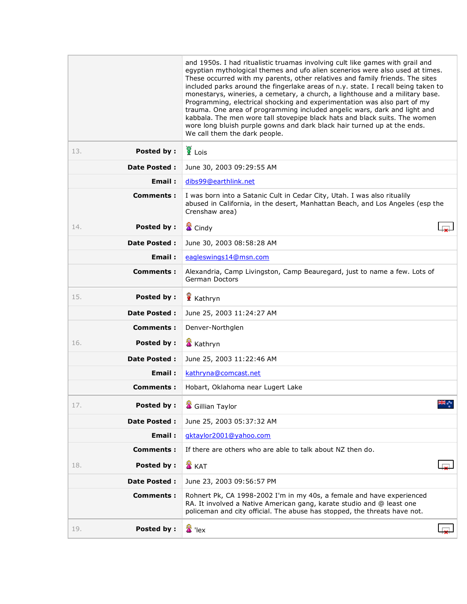|                          | and 1950s. I had ritualistic truamas involving cult like games with grail and<br>egyptian mythological themes and ufo alien scenerios were also used at times.<br>These occurred with my parents, other relatives and family friends. The sites<br>included parks around the fingerlake areas of n.y. state. I recall being taken to<br>monestarys, wineries, a cemetary, a church, a lighthouse and a military base.<br>Programming, electrical shocking and experimentation was also part of my<br>trauma. One area of programming included angelic wars, dark and light and<br>kabbala. The men wore tall stovepipe black hats and black suits. The women<br>wore long bluish purple gowns and dark black hair turned up at the ends.<br>We call them the dark people. |  |
|--------------------------|---------------------------------------------------------------------------------------------------------------------------------------------------------------------------------------------------------------------------------------------------------------------------------------------------------------------------------------------------------------------------------------------------------------------------------------------------------------------------------------------------------------------------------------------------------------------------------------------------------------------------------------------------------------------------------------------------------------------------------------------------------------------------|--|
| Posted by:<br>13.        | $\sum_{k=1}^{\infty}$ Lois                                                                                                                                                                                                                                                                                                                                                                                                                                                                                                                                                                                                                                                                                                                                                |  |
| Date Posted:             | June 30, 2003 09:29:55 AM                                                                                                                                                                                                                                                                                                                                                                                                                                                                                                                                                                                                                                                                                                                                                 |  |
| Email:                   | dibs99@earthlink.net                                                                                                                                                                                                                                                                                                                                                                                                                                                                                                                                                                                                                                                                                                                                                      |  |
| Comments:                | I was born into a Satanic Cult in Cedar City, Utah. I was also ritualily<br>abused in California, in the desert, Manhattan Beach, and Los Angeles (esp the<br>Crenshaw area)                                                                                                                                                                                                                                                                                                                                                                                                                                                                                                                                                                                              |  |
| <b>Posted by:</b><br>14. | <b>X</b> Cindy                                                                                                                                                                                                                                                                                                                                                                                                                                                                                                                                                                                                                                                                                                                                                            |  |
| <b>Date Posted:</b>      | June 30, 2003 08:58:28 AM                                                                                                                                                                                                                                                                                                                                                                                                                                                                                                                                                                                                                                                                                                                                                 |  |
| Email:                   | eagleswings14@msn.com                                                                                                                                                                                                                                                                                                                                                                                                                                                                                                                                                                                                                                                                                                                                                     |  |
| Comments:                | Alexandria, Camp Livingston, Camp Beauregard, just to name a few. Lots of<br>German Doctors                                                                                                                                                                                                                                                                                                                                                                                                                                                                                                                                                                                                                                                                               |  |
| Posted by:<br>15.        | Kathryn                                                                                                                                                                                                                                                                                                                                                                                                                                                                                                                                                                                                                                                                                                                                                                   |  |
| <b>Date Posted:</b>      | June 25, 2003 11:24:27 AM                                                                                                                                                                                                                                                                                                                                                                                                                                                                                                                                                                                                                                                                                                                                                 |  |
| <b>Comments:</b>         | Denver-Northglen                                                                                                                                                                                                                                                                                                                                                                                                                                                                                                                                                                                                                                                                                                                                                          |  |
| Posted by:<br>16.        | <b>X</b> Kathryn                                                                                                                                                                                                                                                                                                                                                                                                                                                                                                                                                                                                                                                                                                                                                          |  |
| <b>Date Posted:</b>      | June 25, 2003 11:22:46 AM                                                                                                                                                                                                                                                                                                                                                                                                                                                                                                                                                                                                                                                                                                                                                 |  |
| Email:                   | kathryna@comcast.net                                                                                                                                                                                                                                                                                                                                                                                                                                                                                                                                                                                                                                                                                                                                                      |  |
| Comments :               | Hobart, Oklahoma near Lugert Lake                                                                                                                                                                                                                                                                                                                                                                                                                                                                                                                                                                                                                                                                                                                                         |  |
| <b>Posted by:</b><br>17. | Gillian Taylor                                                                                                                                                                                                                                                                                                                                                                                                                                                                                                                                                                                                                                                                                                                                                            |  |
| <b>Date Posted:</b>      | June 25, 2003 05:37:32 AM                                                                                                                                                                                                                                                                                                                                                                                                                                                                                                                                                                                                                                                                                                                                                 |  |
| Email:                   | gktaylor2001@yahoo.com                                                                                                                                                                                                                                                                                                                                                                                                                                                                                                                                                                                                                                                                                                                                                    |  |
| <b>Comments:</b>         | If there are others who are able to talk about NZ then do.                                                                                                                                                                                                                                                                                                                                                                                                                                                                                                                                                                                                                                                                                                                |  |
| <b>Posted by:</b><br>18. | <b>置 KAT</b>                                                                                                                                                                                                                                                                                                                                                                                                                                                                                                                                                                                                                                                                                                                                                              |  |
| <b>Date Posted:</b>      | June 23, 2003 09:56:57 PM                                                                                                                                                                                                                                                                                                                                                                                                                                                                                                                                                                                                                                                                                                                                                 |  |
| <b>Comments:</b>         | Rohnert Pk, CA 1998-2002 I'm in my 40s, a female and have experienced<br>RA. It involved a Native American gang, karate studio and @ least one<br>policeman and city official. The abuse has stopped, the threats have not.                                                                                                                                                                                                                                                                                                                                                                                                                                                                                                                                               |  |
| Posted by:<br>19.        | <sup>量</sup> 'lex                                                                                                                                                                                                                                                                                                                                                                                                                                                                                                                                                                                                                                                                                                                                                         |  |